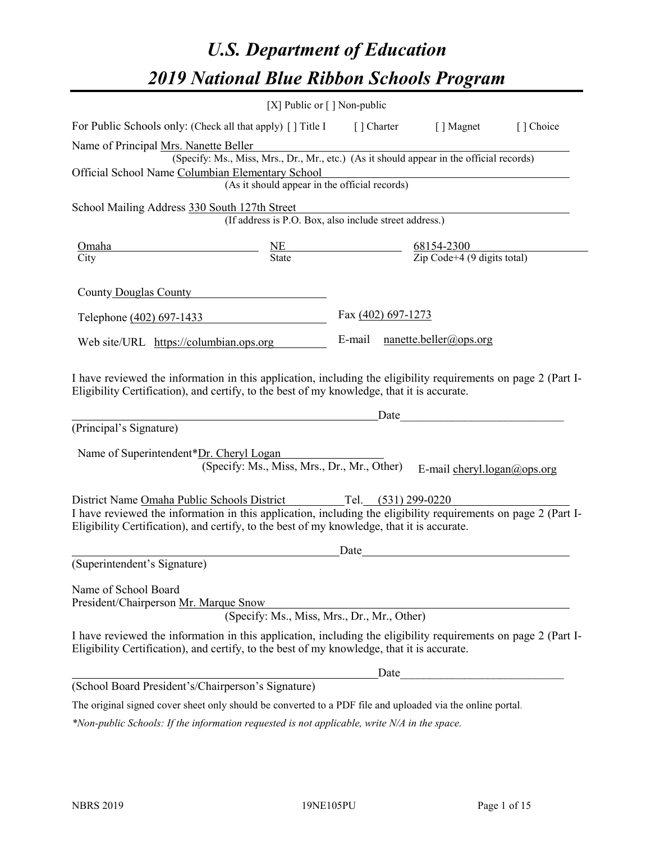# *U.S. Department of Education 2019 National Blue Ribbon Schools Program*

|                                                                                                                                                                                                                                                                                    | [X] Public or $\lceil$ ] Non-public                                                                                                       |                    |      |                                                   |           |
|------------------------------------------------------------------------------------------------------------------------------------------------------------------------------------------------------------------------------------------------------------------------------------|-------------------------------------------------------------------------------------------------------------------------------------------|--------------------|------|---------------------------------------------------|-----------|
| For Public Schools only: (Check all that apply) [ ] Title I [ ] Charter [ ] Magnet                                                                                                                                                                                                 |                                                                                                                                           |                    |      |                                                   | [] Choice |
| Name of Principal Mrs. Nanette Beller<br>Official School Name Columbian Elementary School                                                                                                                                                                                          | (Specify: Ms., Miss, Mrs., Dr., Mr., etc.) (As it should appear in the official records)<br>(As it should appear in the official records) |                    |      | <u> 1980 - Johann Barbara, martxa alemaniar a</u> |           |
| School Mailing Address 330 South 127th Street                                                                                                                                                                                                                                      | (If address is P.O. Box, also include street address.)                                                                                    |                    |      |                                                   |           |
| $\frac{\text{Omaha}}{\text{City}}$ $\frac{\text{NE}}{\text{State}}$ $\frac{68154-2300}{\text{Zip Code}+4 (9 \text{ digits total})}$                                                                                                                                                |                                                                                                                                           |                    |      |                                                   |           |
| County Douglas County                                                                                                                                                                                                                                                              |                                                                                                                                           |                    |      |                                                   |           |
| Telephone (402) 697-1433                                                                                                                                                                                                                                                           |                                                                                                                                           | Fax (402) 697-1273 |      |                                                   |           |
| Web site/URL https://columbian.ops.org                                                                                                                                                                                                                                             |                                                                                                                                           |                    |      | E-mail nanette.beller@ops.org                     |           |
| I have reviewed the information in this application, including the eligibility requirements on page 2 (Part I-<br>Eligibility Certification), and certify, to the best of my knowledge, that it is accurate.<br>(Principal's Signature)<br>Name of Superintendent*Dr. Cheryl Logan | (Specify: Ms., Miss, Mrs., Dr., Mr., Other)                                                                                               |                    |      | Date<br>E-mail cheryl.logan@ops.org               |           |
| District Name Omaha Public Schools District Tel. (531) 299-0220<br>I have reviewed the information in this application, including the eligibility requirements on page 2 (Part I-<br>Eligibility Certification), and certify, to the best of my knowledge, that it is accurate.    |                                                                                                                                           |                    |      |                                                   |           |
| (Superintendent's Signature)                                                                                                                                                                                                                                                       |                                                                                                                                           | Date               |      |                                                   |           |
| Name of School Board<br>President/Chairperson Mr. Marque Snow                                                                                                                                                                                                                      | (Specify: Ms., Miss, Mrs., Dr., Mr., Other)                                                                                               |                    |      |                                                   |           |
| I have reviewed the information in this application, including the eligibility requirements on page 2 (Part I-<br>Eligibility Certification), and certify, to the best of my knowledge, that it is accurate.                                                                       |                                                                                                                                           |                    |      |                                                   |           |
|                                                                                                                                                                                                                                                                                    |                                                                                                                                           |                    | Date |                                                   |           |
| (School Board President's/Chairperson's Signature)                                                                                                                                                                                                                                 |                                                                                                                                           |                    |      |                                                   |           |
| The original signed cover sheet only should be converted to a PDF file and uploaded via the online portal.                                                                                                                                                                         |                                                                                                                                           |                    |      |                                                   |           |

*\*Non-public Schools: If the information requested is not applicable, write N/A in the space.*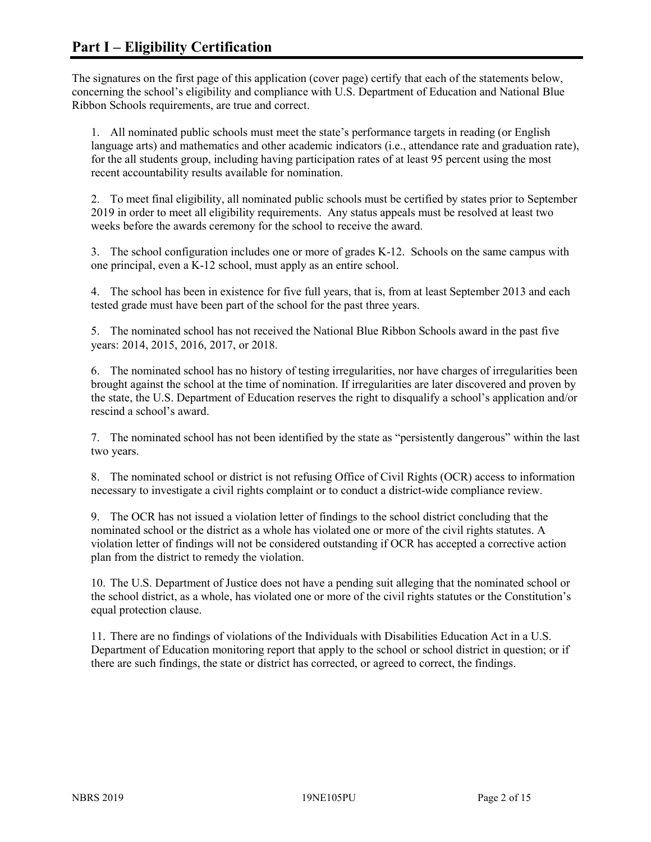The signatures on the first page of this application (cover page) certify that each of the statements below, concerning the school's eligibility and compliance with U.S. Department of Education and National Blue Ribbon Schools requirements, are true and correct.

1. All nominated public schools must meet the state's performance targets in reading (or English language arts) and mathematics and other academic indicators (i.e., attendance rate and graduation rate), for the all students group, including having participation rates of at least 95 percent using the most recent accountability results available for nomination.

2. To meet final eligibility, all nominated public schools must be certified by states prior to September 2019 in order to meet all eligibility requirements. Any status appeals must be resolved at least two weeks before the awards ceremony for the school to receive the award.

3. The school configuration includes one or more of grades K-12. Schools on the same campus with one principal, even a K-12 school, must apply as an entire school.

4. The school has been in existence for five full years, that is, from at least September 2013 and each tested grade must have been part of the school for the past three years.

5. The nominated school has not received the National Blue Ribbon Schools award in the past five years: 2014, 2015, 2016, 2017, or 2018.

6. The nominated school has no history of testing irregularities, nor have charges of irregularities been brought against the school at the time of nomination. If irregularities are later discovered and proven by the state, the U.S. Department of Education reserves the right to disqualify a school's application and/or rescind a school's award.

7. The nominated school has not been identified by the state as "persistently dangerous" within the last two years.

8. The nominated school or district is not refusing Office of Civil Rights (OCR) access to information necessary to investigate a civil rights complaint or to conduct a district-wide compliance review.

9. The OCR has not issued a violation letter of findings to the school district concluding that the nominated school or the district as a whole has violated one or more of the civil rights statutes. A violation letter of findings will not be considered outstanding if OCR has accepted a corrective action plan from the district to remedy the violation.

10. The U.S. Department of Justice does not have a pending suit alleging that the nominated school or the school district, as a whole, has violated one or more of the civil rights statutes or the Constitution's equal protection clause.

11. There are no findings of violations of the Individuals with Disabilities Education Act in a U.S. Department of Education monitoring report that apply to the school or school district in question; or if there are such findings, the state or district has corrected, or agreed to correct, the findings.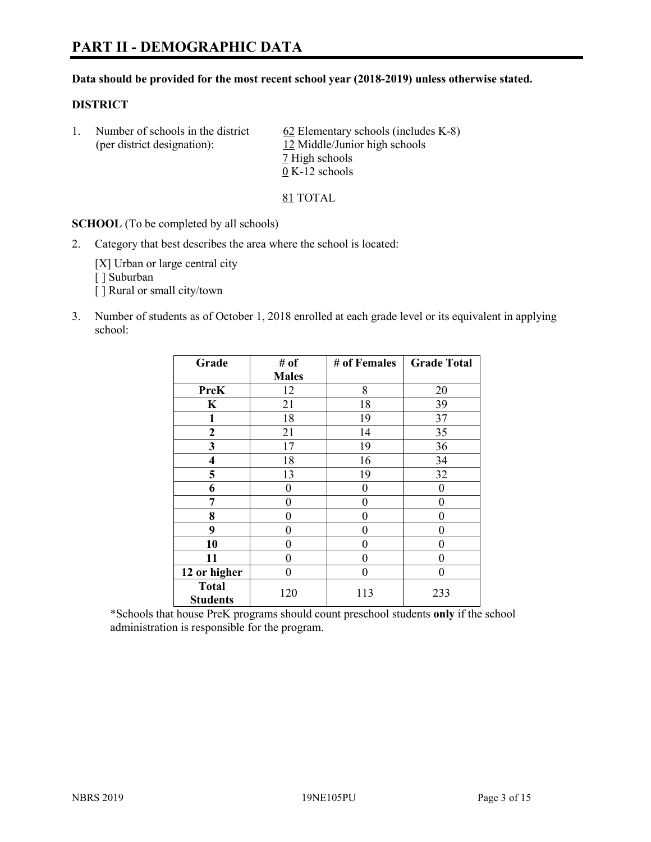# **PART II - DEMOGRAPHIC DATA**

#### **Data should be provided for the most recent school year (2018-2019) unless otherwise stated.**

#### **DISTRICT**

1. Number of schools in the district  $62$  Elementary schools (includes K-8) (per district designation): 12 Middle/Junior high schools 7 High schools 0 K-12 schools

81 TOTAL

**SCHOOL** (To be completed by all schools)

2. Category that best describes the area where the school is located:

[X] Urban or large central city [] Suburban [] Rural or small city/town

3. Number of students as of October 1, 2018 enrolled at each grade level or its equivalent in applying school:

| Grade                           | # of         | # of Females | <b>Grade Total</b> |
|---------------------------------|--------------|--------------|--------------------|
|                                 | <b>Males</b> |              |                    |
| <b>PreK</b>                     | 12           | 8            | 20                 |
| $\mathbf K$                     | 21           | 18           | 39                 |
| 1                               | 18           | 19           | 37                 |
| 2                               | 21           | 14           | 35                 |
| 3                               | 17           | 19           | 36                 |
| $\overline{\mathbf{4}}$         | 18           | 16           | 34                 |
| 5                               | 13           | 19           | 32                 |
| 6                               | 0            | $\theta$     | 0                  |
| 7                               | 0            | $\theta$     | 0                  |
| 8                               | 0            | 0            | 0                  |
| 9                               | 0            | $\theta$     | 0                  |
| 10                              | 0            | 0            | 0                  |
| 11                              | 0            | 0            | 0                  |
| 12 or higher                    | 0            | 0            | 0                  |
| <b>Total</b><br><b>Students</b> | 120          | 113          | 233                |

\*Schools that house PreK programs should count preschool students **only** if the school administration is responsible for the program.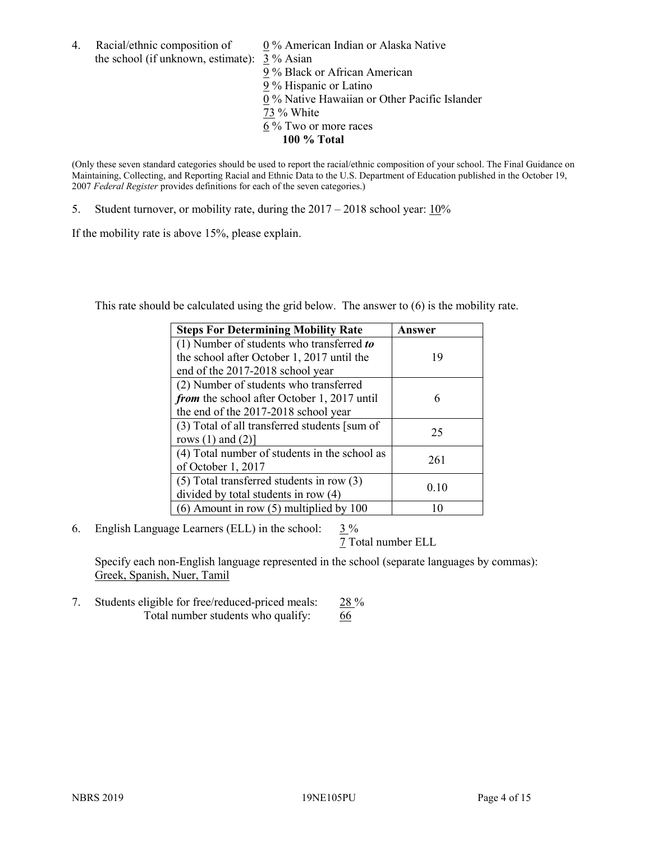4. Racial/ethnic composition of  $0\%$  American Indian or Alaska Native the school (if unknown, estimate): 3 % Asian

9 % Black or African American 9 % Hispanic or Latino 0 % Native Hawaiian or Other Pacific Islander 73 % White  $6\%$  Two or more races **100 % Total**

(Only these seven standard categories should be used to report the racial/ethnic composition of your school. The Final Guidance on Maintaining, Collecting, and Reporting Racial and Ethnic Data to the U.S. Department of Education published in the October 19, 2007 *Federal Register* provides definitions for each of the seven categories.)

5. Student turnover, or mobility rate, during the 2017 – 2018 school year: 10%

If the mobility rate is above 15%, please explain.

This rate should be calculated using the grid below. The answer to (6) is the mobility rate.

| <b>Steps For Determining Mobility Rate</b>    | Answer |
|-----------------------------------------------|--------|
| (1) Number of students who transferred to     |        |
| the school after October 1, 2017 until the    | 19     |
| end of the 2017-2018 school year              |        |
| (2) Number of students who transferred        |        |
| from the school after October 1, 2017 until   | 6      |
| the end of the 2017-2018 school year          |        |
| (3) Total of all transferred students [sum of | 25     |
| rows $(1)$ and $(2)$ ]                        |        |
| (4) Total number of students in the school as |        |
| of October 1, 2017                            | 261    |
| $(5)$ Total transferred students in row $(3)$ |        |
| divided by total students in row (4)          | 0.10   |
| $(6)$ Amount in row $(5)$ multiplied by 100   |        |

6. English Language Learners (ELL) in the school:  $3\%$ 

7 Total number ELL

Specify each non-English language represented in the school (separate languages by commas): Greek, Spanish, Nuer, Tamil

7. Students eligible for free/reduced-priced meals: 28 % Total number students who qualify: 66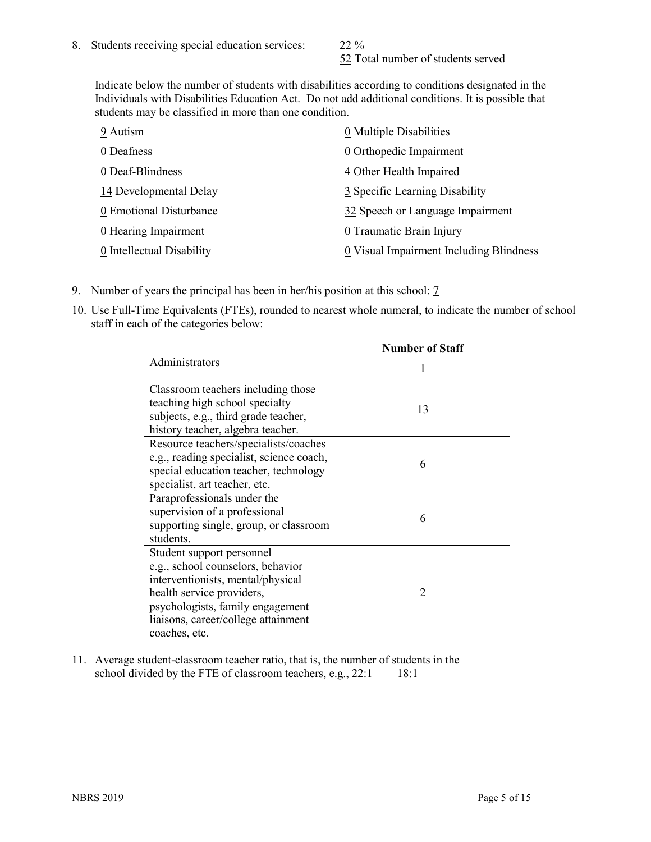52 Total number of students served

Indicate below the number of students with disabilities according to conditions designated in the Individuals with Disabilities Education Act. Do not add additional conditions. It is possible that students may be classified in more than one condition.

| 9 Autism                  | 0 Multiple Disabilities                 |
|---------------------------|-----------------------------------------|
| 0 Deafness                | 0 Orthopedic Impairment                 |
| 0 Deaf-Blindness          | 4 Other Health Impaired                 |
| 14 Developmental Delay    | 3 Specific Learning Disability          |
| 0 Emotional Disturbance   | 32 Speech or Language Impairment        |
| 0 Hearing Impairment      | 0 Traumatic Brain Injury                |
| 0 Intellectual Disability | 0 Visual Impairment Including Blindness |

- 9. Number of years the principal has been in her/his position at this school: 7
- 10. Use Full-Time Equivalents (FTEs), rounded to nearest whole numeral, to indicate the number of school staff in each of the categories below:

|                                                                                                                                                                                                                              | <b>Number of Staff</b> |
|------------------------------------------------------------------------------------------------------------------------------------------------------------------------------------------------------------------------------|------------------------|
| Administrators                                                                                                                                                                                                               |                        |
| Classroom teachers including those<br>teaching high school specialty<br>subjects, e.g., third grade teacher,<br>history teacher, algebra teacher.                                                                            | 13                     |
| Resource teachers/specialists/coaches<br>e.g., reading specialist, science coach,<br>special education teacher, technology<br>specialist, art teacher, etc.                                                                  | 6                      |
| Paraprofessionals under the<br>supervision of a professional<br>supporting single, group, or classroom<br>students.                                                                                                          | 6                      |
| Student support personnel<br>e.g., school counselors, behavior<br>interventionists, mental/physical<br>health service providers,<br>psychologists, family engagement<br>liaisons, career/college attainment<br>coaches, etc. | $\mathcal{D}$          |

11. Average student-classroom teacher ratio, that is, the number of students in the school divided by the FTE of classroom teachers, e.g.,  $22:1$  18:1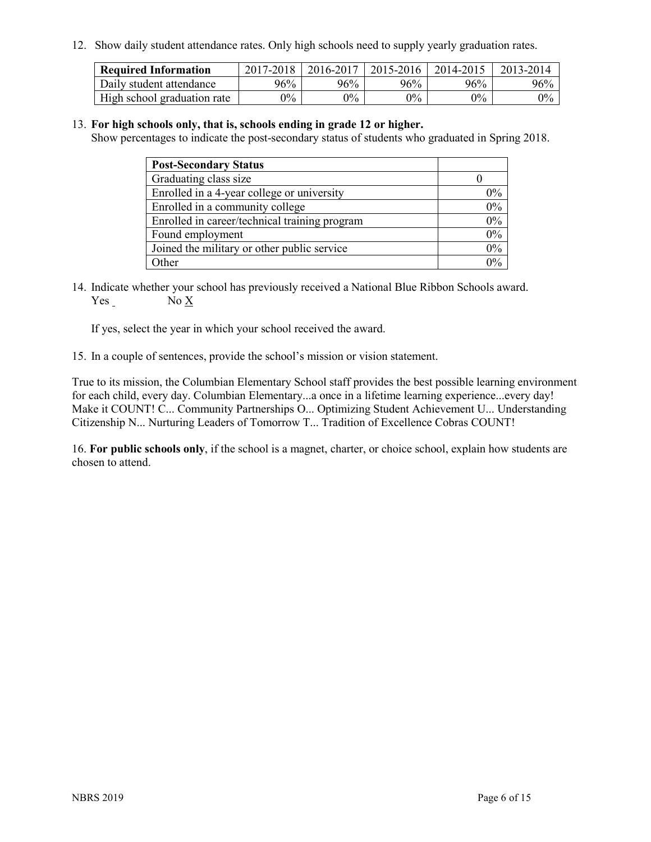12. Show daily student attendance rates. Only high schools need to supply yearly graduation rates.

| <b>Required Information</b> | 2017-2018 | 2016-2017 | 2015-2016 | 2014-2015 | 2013-2014 |
|-----------------------------|-----------|-----------|-----------|-----------|-----------|
| Daily student attendance    | 96%       | 96%       | 96%       | 96%       | 96%       |
| High school graduation rate | $0\%$     | $0\%$     | $0\%$     | $9\%$     | $0\%$     |

#### 13. **For high schools only, that is, schools ending in grade 12 or higher.**

Show percentages to indicate the post-secondary status of students who graduated in Spring 2018.

| <b>Post-Secondary Status</b>                  |       |
|-----------------------------------------------|-------|
| Graduating class size                         |       |
| Enrolled in a 4-year college or university    | $0\%$ |
| Enrolled in a community college               | 0%    |
| Enrolled in career/technical training program | 0%    |
| Found employment                              | 0%    |
| Joined the military or other public service   | 0%    |
| Other                                         | $0\%$ |

14. Indicate whether your school has previously received a National Blue Ribbon Schools award. Yes No X

If yes, select the year in which your school received the award.

15. In a couple of sentences, provide the school's mission or vision statement.

True to its mission, the Columbian Elementary School staff provides the best possible learning environment for each child, every day. Columbian Elementary...a once in a lifetime learning experience...every day! Make it COUNT! C... Community Partnerships O... Optimizing Student Achievement U... Understanding Citizenship N... Nurturing Leaders of Tomorrow T... Tradition of Excellence Cobras COUNT!

16. **For public schools only**, if the school is a magnet, charter, or choice school, explain how students are chosen to attend.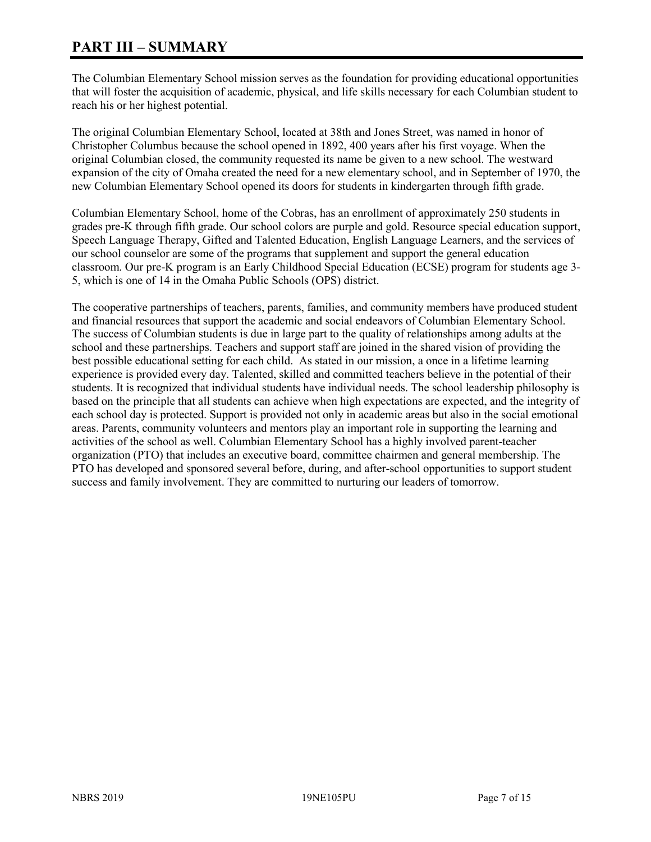# **PART III – SUMMARY**

The Columbian Elementary School mission serves as the foundation for providing educational opportunities that will foster the acquisition of academic, physical, and life skills necessary for each Columbian student to reach his or her highest potential.

The original Columbian Elementary School, located at 38th and Jones Street, was named in honor of Christopher Columbus because the school opened in 1892, 400 years after his first voyage. When the original Columbian closed, the community requested its name be given to a new school. The westward expansion of the city of Omaha created the need for a new elementary school, and in September of 1970, the new Columbian Elementary School opened its doors for students in kindergarten through fifth grade.

Columbian Elementary School, home of the Cobras, has an enrollment of approximately 250 students in grades pre-K through fifth grade. Our school colors are purple and gold. Resource special education support, Speech Language Therapy, Gifted and Talented Education, English Language Learners, and the services of our school counselor are some of the programs that supplement and support the general education classroom. Our pre-K program is an Early Childhood Special Education (ECSE) program for students age 3- 5, which is one of 14 in the Omaha Public Schools (OPS) district.

The cooperative partnerships of teachers, parents, families, and community members have produced student and financial resources that support the academic and social endeavors of Columbian Elementary School. The success of Columbian students is due in large part to the quality of relationships among adults at the school and these partnerships. Teachers and support staff are joined in the shared vision of providing the best possible educational setting for each child. As stated in our mission, a once in a lifetime learning experience is provided every day. Talented, skilled and committed teachers believe in the potential of their students. It is recognized that individual students have individual needs. The school leadership philosophy is based on the principle that all students can achieve when high expectations are expected, and the integrity of each school day is protected. Support is provided not only in academic areas but also in the social emotional areas. Parents, community volunteers and mentors play an important role in supporting the learning and activities of the school as well. Columbian Elementary School has a highly involved parent-teacher organization (PTO) that includes an executive board, committee chairmen and general membership. The PTO has developed and sponsored several before, during, and after-school opportunities to support student success and family involvement. They are committed to nurturing our leaders of tomorrow.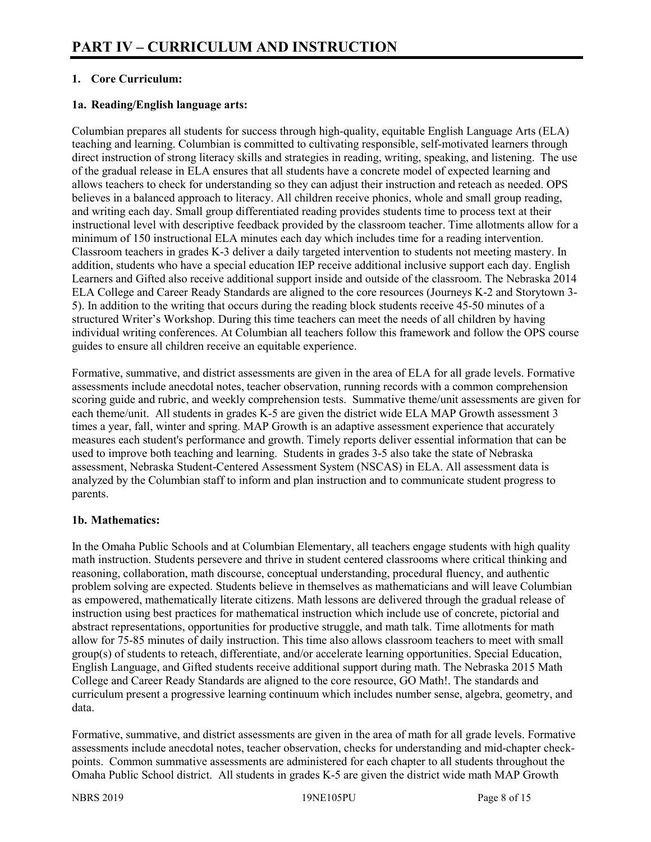# **1. Core Curriculum:**

## **1a. Reading/English language arts:**

Columbian prepares all students for success through high-quality, equitable English Language Arts (ELA) teaching and learning. Columbian is committed to cultivating responsible, self-motivated learners through direct instruction of strong literacy skills and strategies in reading, writing, speaking, and listening. The use of the gradual release in ELA ensures that all students have a concrete model of expected learning and allows teachers to check for understanding so they can adjust their instruction and reteach as needed. OPS believes in a balanced approach to literacy. All children receive phonics, whole and small group reading, and writing each day. Small group differentiated reading provides students time to process text at their instructional level with descriptive feedback provided by the classroom teacher. Time allotments allow for a minimum of 150 instructional ELA minutes each day which includes time for a reading intervention. Classroom teachers in grades K-3 deliver a daily targeted intervention to students not meeting mastery. In addition, students who have a special education IEP receive additional inclusive support each day. English Learners and Gifted also receive additional support inside and outside of the classroom. The Nebraska 2014 ELA College and Career Ready Standards are aligned to the core resources (Journeys K-2 and Storytown 3- 5). In addition to the writing that occurs during the reading block students receive 45-50 minutes of a structured Writer's Workshop. During this time teachers can meet the needs of all children by having individual writing conferences. At Columbian all teachers follow this framework and follow the OPS course guides to ensure all children receive an equitable experience.

Formative, summative, and district assessments are given in the area of ELA for all grade levels. Formative assessments include anecdotal notes, teacher observation, running records with a common comprehension scoring guide and rubric, and weekly comprehension tests. Summative theme/unit assessments are given for each theme/unit. All students in grades K-5 are given the district wide ELA MAP Growth assessment 3 times a year, fall, winter and spring. MAP Growth is an adaptive assessment experience that accurately measures each student's performance and growth. Timely reports deliver essential information that can be used to improve both teaching and learning. Students in grades 3-5 also take the state of Nebraska assessment, Nebraska Student-Centered Assessment System (NSCAS) in ELA. All assessment data is analyzed by the Columbian staff to inform and plan instruction and to communicate student progress to parents.

#### **1b. Mathematics:**

In the Omaha Public Schools and at Columbian Elementary, all teachers engage students with high quality math instruction. Students persevere and thrive in student centered classrooms where critical thinking and reasoning, collaboration, math discourse, conceptual understanding, procedural fluency, and authentic problem solving are expected. Students believe in themselves as mathematicians and will leave Columbian as empowered, mathematically literate citizens. Math lessons are delivered through the gradual release of instruction using best practices for mathematical instruction which include use of concrete, pictorial and abstract representations, opportunities for productive struggle, and math talk. Time allotments for math allow for 75-85 minutes of daily instruction. This time also allows classroom teachers to meet with small group(s) of students to reteach, differentiate, and/or accelerate learning opportunities. Special Education, English Language, and Gifted students receive additional support during math. The Nebraska 2015 Math College and Career Ready Standards are aligned to the core resource, GO Math!. The standards and curriculum present a progressive learning continuum which includes number sense, algebra, geometry, and data.

Formative, summative, and district assessments are given in the area of math for all grade levels. Formative assessments include anecdotal notes, teacher observation, checks for understanding and mid-chapter checkpoints. Common summative assessments are administered for each chapter to all students throughout the Omaha Public School district. All students in grades K-5 are given the district wide math MAP Growth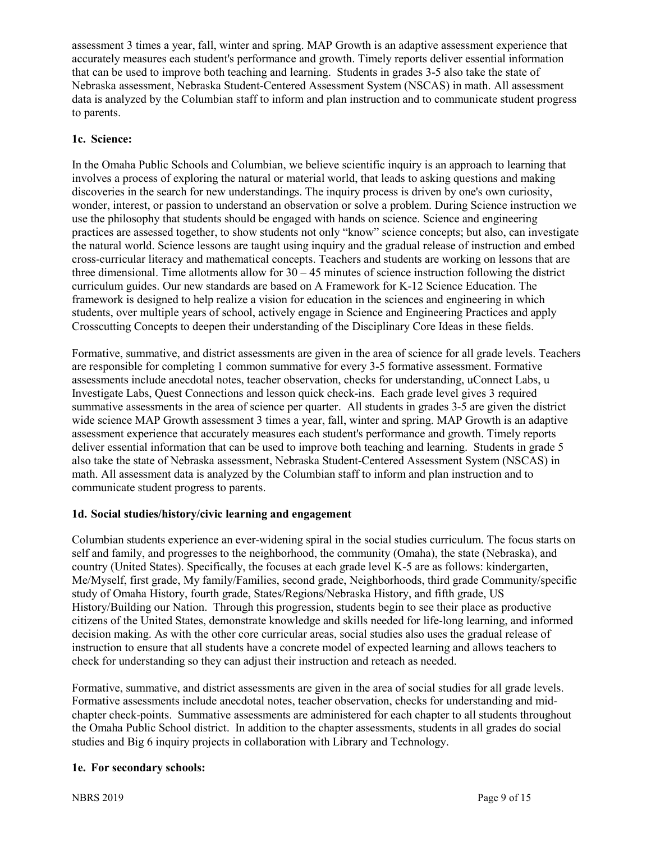assessment 3 times a year, fall, winter and spring. MAP Growth is an adaptive assessment experience that accurately measures each student's performance and growth. Timely reports deliver essential information that can be used to improve both teaching and learning. Students in grades 3-5 also take the state of Nebraska assessment, Nebraska Student-Centered Assessment System (NSCAS) in math. All assessment data is analyzed by the Columbian staff to inform and plan instruction and to communicate student progress to parents.

## **1c. Science:**

In the Omaha Public Schools and Columbian, we believe scientific inquiry is an approach to learning that involves a process of exploring the natural or material world, that leads to asking questions and making discoveries in the search for new understandings. The inquiry process is driven by one's own curiosity, wonder, interest, or passion to understand an observation or solve a problem. During Science instruction we use the philosophy that students should be engaged with hands on science. Science and engineering practices are assessed together, to show students not only "know" science concepts; but also, can investigate the natural world. Science lessons are taught using inquiry and the gradual release of instruction and embed cross-curricular literacy and mathematical concepts. Teachers and students are working on lessons that are three dimensional. Time allotments allow for  $30 - 45$  minutes of science instruction following the district curriculum guides. Our new standards are based on A Framework for K-12 Science Education. The framework is designed to help realize a vision for education in the sciences and engineering in which students, over multiple years of school, actively engage in Science and Engineering Practices and apply Crosscutting Concepts to deepen their understanding of the Disciplinary Core Ideas in these fields.

Formative, summative, and district assessments are given in the area of science for all grade levels. Teachers are responsible for completing 1 common summative for every 3-5 formative assessment. Formative assessments include anecdotal notes, teacher observation, checks for understanding, uConnect Labs, u Investigate Labs, Quest Connections and lesson quick check-ins. Each grade level gives 3 required summative assessments in the area of science per quarter. All students in grades 3-5 are given the district wide science MAP Growth assessment 3 times a year, fall, winter and spring. MAP Growth is an adaptive assessment experience that accurately measures each student's performance and growth. Timely reports deliver essential information that can be used to improve both teaching and learning. Students in grade 5 also take the state of Nebraska assessment, Nebraska Student-Centered Assessment System (NSCAS) in math. All assessment data is analyzed by the Columbian staff to inform and plan instruction and to communicate student progress to parents.

#### **1d. Social studies/history/civic learning and engagement**

Columbian students experience an ever-widening spiral in the social studies curriculum. The focus starts on self and family, and progresses to the neighborhood, the community (Omaha), the state (Nebraska), and country (United States). Specifically, the focuses at each grade level K-5 are as follows: kindergarten, Me/Myself, first grade, My family/Families, second grade, Neighborhoods, third grade Community/specific study of Omaha History, fourth grade, States/Regions/Nebraska History, and fifth grade, US History/Building our Nation. Through this progression, students begin to see their place as productive citizens of the United States, demonstrate knowledge and skills needed for life-long learning, and informed decision making. As with the other core curricular areas, social studies also uses the gradual release of instruction to ensure that all students have a concrete model of expected learning and allows teachers to check for understanding so they can adjust their instruction and reteach as needed.

Formative, summative, and district assessments are given in the area of social studies for all grade levels. Formative assessments include anecdotal notes, teacher observation, checks for understanding and midchapter check-points. Summative assessments are administered for each chapter to all students throughout the Omaha Public School district. In addition to the chapter assessments, students in all grades do social studies and Big 6 inquiry projects in collaboration with Library and Technology.

#### **1e. For secondary schools:**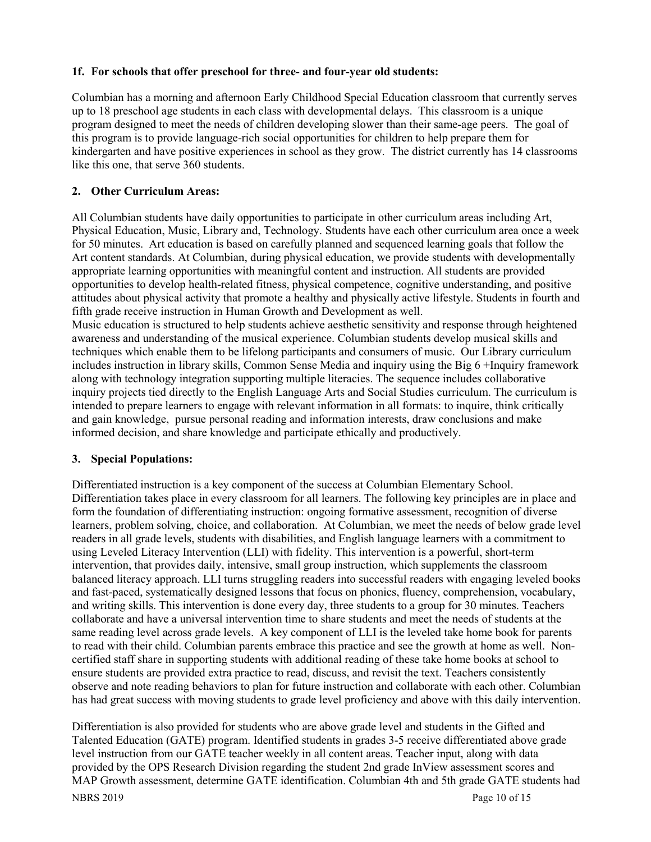#### **1f. For schools that offer preschool for three- and four-year old students:**

Columbian has a morning and afternoon Early Childhood Special Education classroom that currently serves up to 18 preschool age students in each class with developmental delays. This classroom is a unique program designed to meet the needs of children developing slower than their same-age peers. The goal of this program is to provide language-rich social opportunities for children to help prepare them for kindergarten and have positive experiences in school as they grow. The district currently has 14 classrooms like this one, that serve 360 students.

# **2. Other Curriculum Areas:**

All Columbian students have daily opportunities to participate in other curriculum areas including Art, Physical Education, Music, Library and, Technology. Students have each other curriculum area once a week for 50 minutes. Art education is based on carefully planned and sequenced learning goals that follow the Art content standards. At Columbian, during physical education, we provide students with developmentally appropriate learning opportunities with meaningful content and instruction. All students are provided opportunities to develop health-related fitness, physical competence, cognitive understanding, and positive attitudes about physical activity that promote a healthy and physically active lifestyle. Students in fourth and fifth grade receive instruction in Human Growth and Development as well.

Music education is structured to help students achieve aesthetic sensitivity and response through heightened awareness and understanding of the musical experience. Columbian students develop musical skills and techniques which enable them to be lifelong participants and consumers of music. Our Library curriculum includes instruction in library skills, Common Sense Media and inquiry using the Big 6 +Inquiry framework along with technology integration supporting multiple literacies. The sequence includes collaborative inquiry projects tied directly to the English Language Arts and Social Studies curriculum. The curriculum is intended to prepare learners to engage with relevant information in all formats: to inquire, think critically and gain knowledge, pursue personal reading and information interests, draw conclusions and make informed decision, and share knowledge and participate ethically and productively.

# **3. Special Populations:**

Differentiated instruction is a key component of the success at Columbian Elementary School. Differentiation takes place in every classroom for all learners. The following key principles are in place and form the foundation of differentiating instruction: ongoing formative assessment, recognition of diverse learners, problem solving, choice, and collaboration. At Columbian, we meet the needs of below grade level readers in all grade levels, students with disabilities, and English language learners with a commitment to using Leveled Literacy Intervention (LLI) with fidelity. This intervention is a powerful, short-term intervention, that provides daily, intensive, small group instruction, which supplements the classroom balanced literacy approach. LLI turns struggling readers into successful readers with engaging leveled books and fast-paced, systematically designed lessons that focus on phonics, fluency, comprehension, vocabulary, and writing skills. This intervention is done every day, three students to a group for 30 minutes. Teachers collaborate and have a universal intervention time to share students and meet the needs of students at the same reading level across grade levels. A key component of LLI is the leveled take home book for parents to read with their child. Columbian parents embrace this practice and see the growth at home as well. Noncertified staff share in supporting students with additional reading of these take home books at school to ensure students are provided extra practice to read, discuss, and revisit the text. Teachers consistently observe and note reading behaviors to plan for future instruction and collaborate with each other. Columbian has had great success with moving students to grade level proficiency and above with this daily intervention.

Differentiation is also provided for students who are above grade level and students in the Gifted and Talented Education (GATE) program. Identified students in grades 3-5 receive differentiated above grade level instruction from our GATE teacher weekly in all content areas. Teacher input, along with data provided by the OPS Research Division regarding the student 2nd grade InView assessment scores and MAP Growth assessment, determine GATE identification. Columbian 4th and 5th grade GATE students had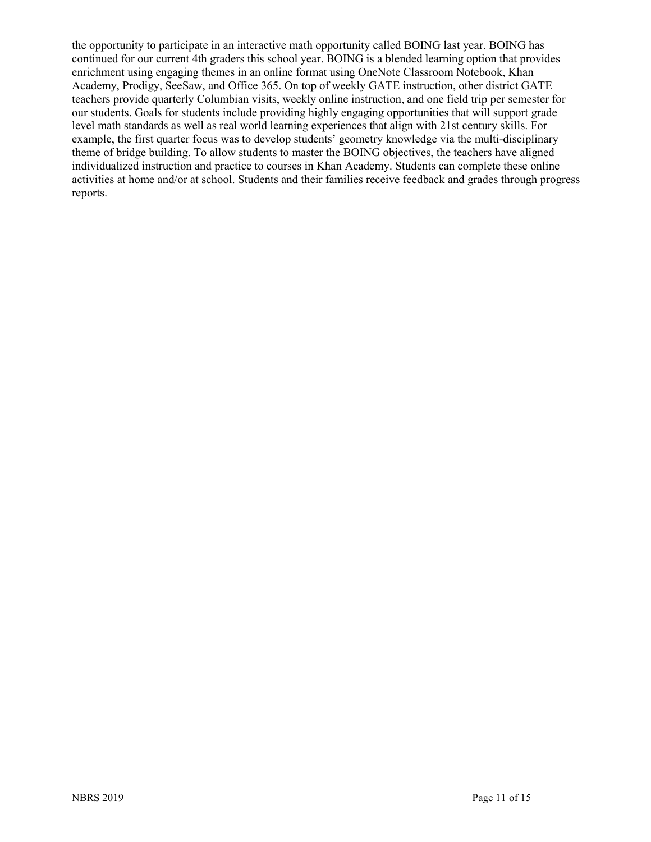the opportunity to participate in an interactive math opportunity called BOING last year. BOING has continued for our current 4th graders this school year. BOING is a blended learning option that provides enrichment using engaging themes in an online format using OneNote Classroom Notebook, Khan Academy, Prodigy, SeeSaw, and Office 365. On top of weekly GATE instruction, other district GATE teachers provide quarterly Columbian visits, weekly online instruction, and one field trip per semester for our students. Goals for students include providing highly engaging opportunities that will support grade level math standards as well as real world learning experiences that align with 21st century skills. For example, the first quarter focus was to develop students' geometry knowledge via the multi-disciplinary theme of bridge building. To allow students to master the BOING objectives, the teachers have aligned individualized instruction and practice to courses in Khan Academy. Students can complete these online activities at home and/or at school. Students and their families receive feedback and grades through progress reports.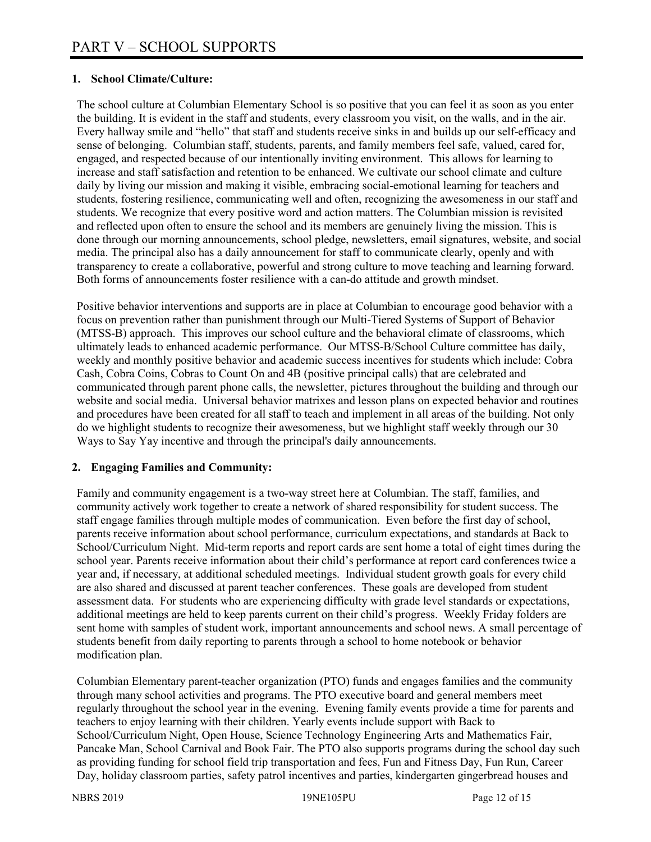### **1. School Climate/Culture:**

The school culture at Columbian Elementary School is so positive that you can feel it as soon as you enter the building. It is evident in the staff and students, every classroom you visit, on the walls, and in the air. Every hallway smile and "hello" that staff and students receive sinks in and builds up our self-efficacy and sense of belonging. Columbian staff, students, parents, and family members feel safe, valued, cared for, engaged, and respected because of our intentionally inviting environment. This allows for learning to increase and staff satisfaction and retention to be enhanced. We cultivate our school climate and culture daily by living our mission and making it visible, embracing social-emotional learning for teachers and students, fostering resilience, communicating well and often, recognizing the awesomeness in our staff and students. We recognize that every positive word and action matters. The Columbian mission is revisited and reflected upon often to ensure the school and its members are genuinely living the mission. This is done through our morning announcements, school pledge, newsletters, email signatures, website, and social media. The principal also has a daily announcement for staff to communicate clearly, openly and with transparency to create a collaborative, powerful and strong culture to move teaching and learning forward. Both forms of announcements foster resilience with a can-do attitude and growth mindset.

Positive behavior interventions and supports are in place at Columbian to encourage good behavior with a focus on prevention rather than punishment through our Multi-Tiered Systems of Support of Behavior (MTSS-B) approach. This improves our school culture and the behavioral climate of classrooms, which ultimately leads to enhanced academic performance. Our MTSS-B/School Culture committee has daily, weekly and monthly positive behavior and academic success incentives for students which include: Cobra Cash, Cobra Coins, Cobras to Count On and 4B (positive principal calls) that are celebrated and communicated through parent phone calls, the newsletter, pictures throughout the building and through our website and social media. Universal behavior matrixes and lesson plans on expected behavior and routines and procedures have been created for all staff to teach and implement in all areas of the building. Not only do we highlight students to recognize their awesomeness, but we highlight staff weekly through our 30 Ways to Say Yay incentive and through the principal's daily announcements.

#### **2. Engaging Families and Community:**

Family and community engagement is a two-way street here at Columbian. The staff, families, and community actively work together to create a network of shared responsibility for student success. The staff engage families through multiple modes of communication. Even before the first day of school, parents receive information about school performance, curriculum expectations, and standards at Back to School/Curriculum Night. Mid-term reports and report cards are sent home a total of eight times during the school year. Parents receive information about their child's performance at report card conferences twice a year and, if necessary, at additional scheduled meetings. Individual student growth goals for every child are also shared and discussed at parent teacher conferences. These goals are developed from student assessment data. For students who are experiencing difficulty with grade level standards or expectations, additional meetings are held to keep parents current on their child's progress. Weekly Friday folders are sent home with samples of student work, important announcements and school news. A small percentage of students benefit from daily reporting to parents through a school to home notebook or behavior modification plan.

Columbian Elementary parent-teacher organization (PTO) funds and engages families and the community through many school activities and programs. The PTO executive board and general members meet regularly throughout the school year in the evening. Evening family events provide a time for parents and teachers to enjoy learning with their children. Yearly events include support with Back to School/Curriculum Night, Open House, Science Technology Engineering Arts and Mathematics Fair, Pancake Man, School Carnival and Book Fair. The PTO also supports programs during the school day such as providing funding for school field trip transportation and fees, Fun and Fitness Day, Fun Run, Career Day, holiday classroom parties, safety patrol incentives and parties, kindergarten gingerbread houses and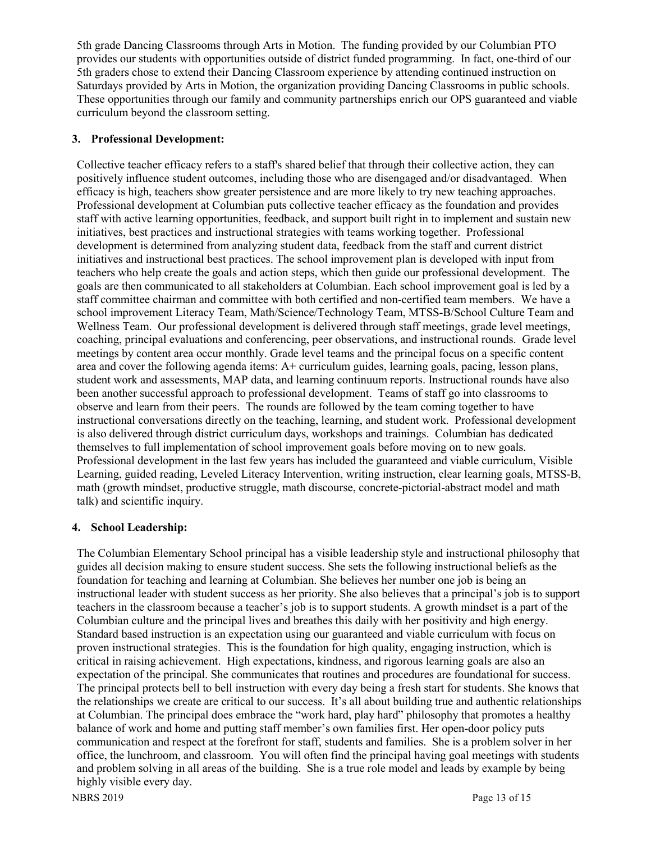5th grade Dancing Classrooms through Arts in Motion. The funding provided by our Columbian PTO provides our students with opportunities outside of district funded programming. In fact, one-third of our 5th graders chose to extend their Dancing Classroom experience by attending continued instruction on Saturdays provided by Arts in Motion, the organization providing Dancing Classrooms in public schools. These opportunities through our family and community partnerships enrich our OPS guaranteed and viable curriculum beyond the classroom setting.

## **3. Professional Development:**

Collective teacher efficacy refers to a staff's shared belief that through their collective action, they can positively influence student outcomes, including those who are disengaged and/or disadvantaged. When efficacy is high, teachers show greater persistence and are more likely to try new teaching approaches. Professional development at Columbian puts collective teacher efficacy as the foundation and provides staff with active learning opportunities, feedback, and support built right in to implement and sustain new initiatives, best practices and instructional strategies with teams working together. Professional development is determined from analyzing student data, feedback from the staff and current district initiatives and instructional best practices. The school improvement plan is developed with input from teachers who help create the goals and action steps, which then guide our professional development. The goals are then communicated to all stakeholders at Columbian. Each school improvement goal is led by a staff committee chairman and committee with both certified and non-certified team members. We have a school improvement Literacy Team, Math/Science/Technology Team, MTSS-B/School Culture Team and Wellness Team. Our professional development is delivered through staff meetings, grade level meetings, coaching, principal evaluations and conferencing, peer observations, and instructional rounds. Grade level meetings by content area occur monthly. Grade level teams and the principal focus on a specific content area and cover the following agenda items: A+ curriculum guides, learning goals, pacing, lesson plans, student work and assessments, MAP data, and learning continuum reports. Instructional rounds have also been another successful approach to professional development. Teams of staff go into classrooms to observe and learn from their peers. The rounds are followed by the team coming together to have instructional conversations directly on the teaching, learning, and student work. Professional development is also delivered through district curriculum days, workshops and trainings. Columbian has dedicated themselves to full implementation of school improvement goals before moving on to new goals. Professional development in the last few years has included the guaranteed and viable curriculum, Visible Learning, guided reading, Leveled Literacy Intervention, writing instruction, clear learning goals, MTSS-B, math (growth mindset, productive struggle, math discourse, concrete-pictorial-abstract model and math talk) and scientific inquiry.

#### **4. School Leadership:**

The Columbian Elementary School principal has a visible leadership style and instructional philosophy that guides all decision making to ensure student success. She sets the following instructional beliefs as the foundation for teaching and learning at Columbian. She believes her number one job is being an instructional leader with student success as her priority. She also believes that a principal's job is to support teachers in the classroom because a teacher's job is to support students. A growth mindset is a part of the Columbian culture and the principal lives and breathes this daily with her positivity and high energy. Standard based instruction is an expectation using our guaranteed and viable curriculum with focus on proven instructional strategies. This is the foundation for high quality, engaging instruction, which is critical in raising achievement. High expectations, kindness, and rigorous learning goals are also an expectation of the principal. She communicates that routines and procedures are foundational for success. The principal protects bell to bell instruction with every day being a fresh start for students. She knows that the relationships we create are critical to our success. It's all about building true and authentic relationships at Columbian. The principal does embrace the "work hard, play hard" philosophy that promotes a healthy balance of work and home and putting staff member's own families first. Her open-door policy puts communication and respect at the forefront for staff, students and families. She is a problem solver in her office, the lunchroom, and classroom. You will often find the principal having goal meetings with students and problem solving in all areas of the building. She is a true role model and leads by example by being highly visible every day.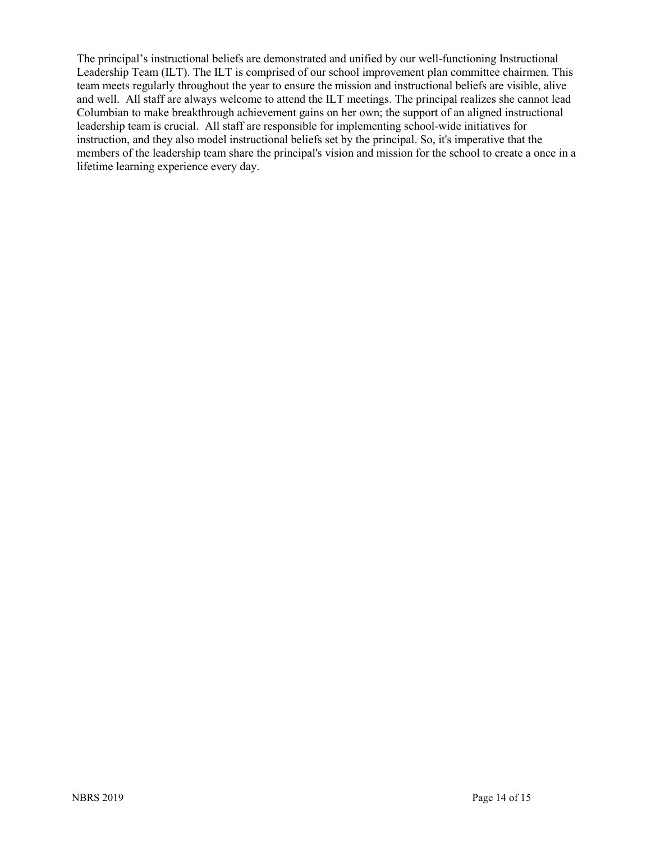The principal's instructional beliefs are demonstrated and unified by our well-functioning Instructional Leadership Team (ILT). The ILT is comprised of our school improvement plan committee chairmen. This team meets regularly throughout the year to ensure the mission and instructional beliefs are visible, alive and well. All staff are always welcome to attend the ILT meetings. The principal realizes she cannot lead Columbian to make breakthrough achievement gains on her own; the support of an aligned instructional leadership team is crucial. All staff are responsible for implementing school-wide initiatives for instruction, and they also model instructional beliefs set by the principal. So, it's imperative that the members of the leadership team share the principal's vision and mission for the school to create a once in a lifetime learning experience every day.